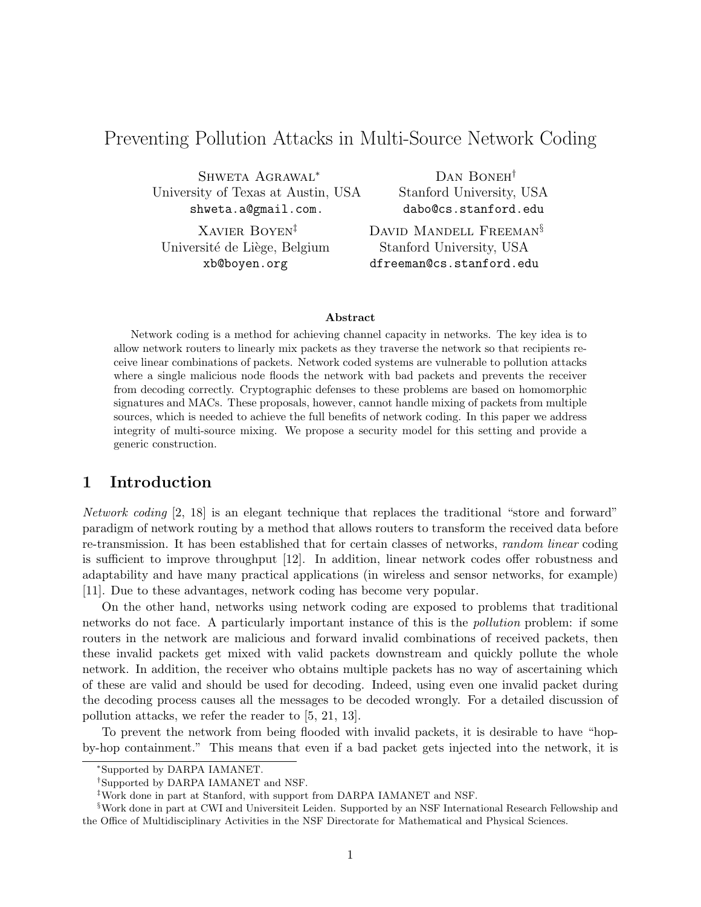# Preventing Pollution Attacks in Multi-Source Network Coding

Shweta Agrawal<sup>∗</sup> University of Texas at Austin, USA shweta.a@gmail.com.

Xavier Boyen‡ Université de Liège, Belgium xb@boyen.org

DAN BONEH<sup>†</sup> Stanford University, USA dabo@cs.stanford.edu

DAVID MANDELL FREEMAN<sup>§</sup> Stanford University, USA dfreeman@cs.stanford.edu

#### Abstract

Network coding is a method for achieving channel capacity in networks. The key idea is to allow network routers to linearly mix packets as they traverse the network so that recipients receive linear combinations of packets. Network coded systems are vulnerable to pollution attacks where a single malicious node floods the network with bad packets and prevents the receiver from decoding correctly. Cryptographic defenses to these problems are based on homomorphic signatures and MACs. These proposals, however, cannot handle mixing of packets from multiple sources, which is needed to achieve the full benefits of network coding. In this paper we address integrity of multi-source mixing. We propose a security model for this setting and provide a generic construction.

# 1 Introduction

Network coding [2, 18] is an elegant technique that replaces the traditional "store and forward" paradigm of network routing by a method that allows routers to transform the received data before re-transmission. It has been established that for certain classes of networks, random linear coding is sufficient to improve throughput [12]. In addition, linear network codes offer robustness and adaptability and have many practical applications (in wireless and sensor networks, for example) [11]. Due to these advantages, network coding has become very popular.

On the other hand, networks using network coding are exposed to problems that traditional networks do not face. A particularly important instance of this is the pollution problem: if some routers in the network are malicious and forward invalid combinations of received packets, then these invalid packets get mixed with valid packets downstream and quickly pollute the whole network. In addition, the receiver who obtains multiple packets has no way of ascertaining which of these are valid and should be used for decoding. Indeed, using even one invalid packet during the decoding process causes all the messages to be decoded wrongly. For a detailed discussion of pollution attacks, we refer the reader to [5, 21, 13].

To prevent the network from being flooded with invalid packets, it is desirable to have "hopby-hop containment." This means that even if a bad packet gets injected into the network, it is

<sup>∗</sup>Supported by DARPA IAMANET.

<sup>†</sup>Supported by DARPA IAMANET and NSF.

<sup>‡</sup>Work done in part at Stanford, with support from DARPA IAMANET and NSF.

<sup>§</sup>Work done in part at CWI and Universiteit Leiden. Supported by an NSF International Research Fellowship and the Office of Multidisciplinary Activities in the NSF Directorate for Mathematical and Physical Sciences.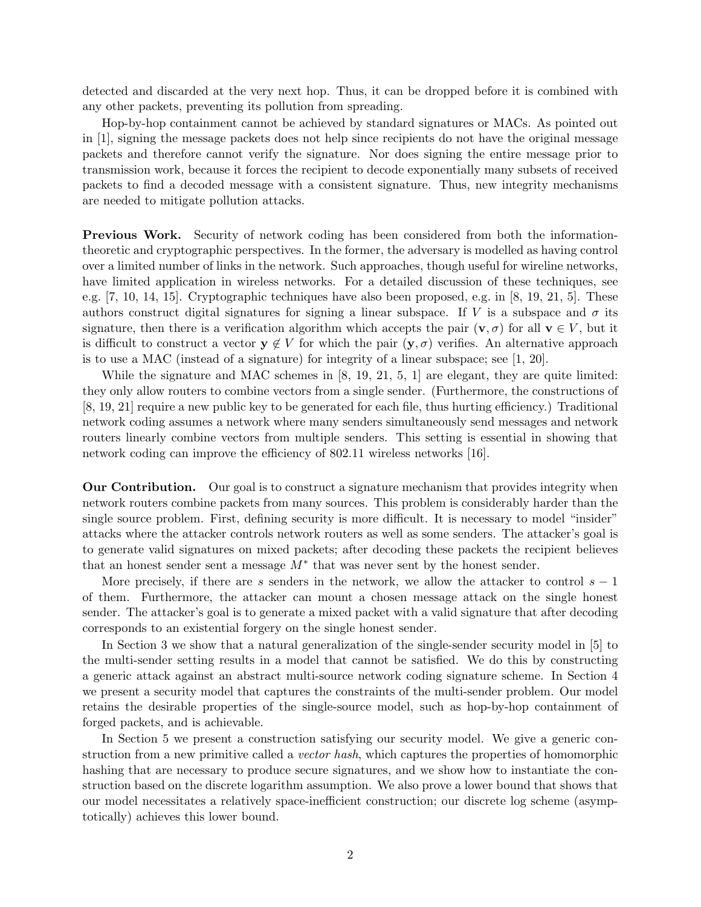detected and discarded at the very next hop. Thus, it can be dropped before it is combined with any other packets, preventing its pollution from spreading.

Hop-by-hop containment cannot be achieved by standard signatures or MACs. As pointed out in [1], signing the message packets does not help since recipients do not have the original message packets and therefore cannot verify the signature. Nor does signing the entire message prior to transmission work, because it forces the recipient to decode exponentially many subsets of received packets to find a decoded message with a consistent signature. Thus, new integrity mechanisms are needed to mitigate pollution attacks.

Previous Work. Security of network coding has been considered from both the informationtheoretic and cryptographic perspectives. In the former, the adversary is modelled as having control over a limited number of links in the network. Such approaches, though useful for wireline networks, have limited application in wireless networks. For a detailed discussion of these techniques, see e.g. [7, 10, 14, 15]. Cryptographic techniques have also been proposed, e.g. in [8, 19, 21, 5]. These authors construct digital signatures for signing a linear subspace. If V is a subspace and  $\sigma$  its signature, then there is a verification algorithm which accepts the pair  $(\mathbf{v}, \sigma)$  for all  $\mathbf{v} \in V$ , but it is difficult to construct a vector  $y \notin V$  for which the pair  $(y, \sigma)$  verifies. An alternative approach is to use a MAC (instead of a signature) for integrity of a linear subspace; see [1, 20].

While the signature and MAC schemes in  $[8, 19, 21, 5, 1]$  are elegant, they are quite limited: they only allow routers to combine vectors from a single sender. (Furthermore, the constructions of [8, 19, 21] require a new public key to be generated for each file, thus hurting efficiency.) Traditional network coding assumes a network where many senders simultaneously send messages and network routers linearly combine vectors from multiple senders. This setting is essential in showing that network coding can improve the efficiency of 802.11 wireless networks [16].

Our Contribution. Our goal is to construct a signature mechanism that provides integrity when network routers combine packets from many sources. This problem is considerably harder than the single source problem. First, defining security is more difficult. It is necessary to model "insider" attacks where the attacker controls network routers as well as some senders. The attacker's goal is to generate valid signatures on mixed packets; after decoding these packets the recipient believes that an honest sender sent a message  $M^*$  that was never sent by the honest sender.

More precisely, if there are s senders in the network, we allow the attacker to control  $s - 1$ of them. Furthermore, the attacker can mount a chosen message attack on the single honest sender. The attacker's goal is to generate a mixed packet with a valid signature that after decoding corresponds to an existential forgery on the single honest sender.

In Section 3 we show that a natural generalization of the single-sender security model in [5] to the multi-sender setting results in a model that cannot be satisfied. We do this by constructing a generic attack against an abstract multi-source network coding signature scheme. In Section 4 we present a security model that captures the constraints of the multi-sender problem. Our model retains the desirable properties of the single-source model, such as hop-by-hop containment of forged packets, and is achievable.

In Section 5 we present a construction satisfying our security model. We give a generic construction from a new primitive called a *vector hash*, which captures the properties of homomorphic hashing that are necessary to produce secure signatures, and we show how to instantiate the construction based on the discrete logarithm assumption. We also prove a lower bound that shows that our model necessitates a relatively space-inefficient construction; our discrete log scheme (asymptotically) achieves this lower bound.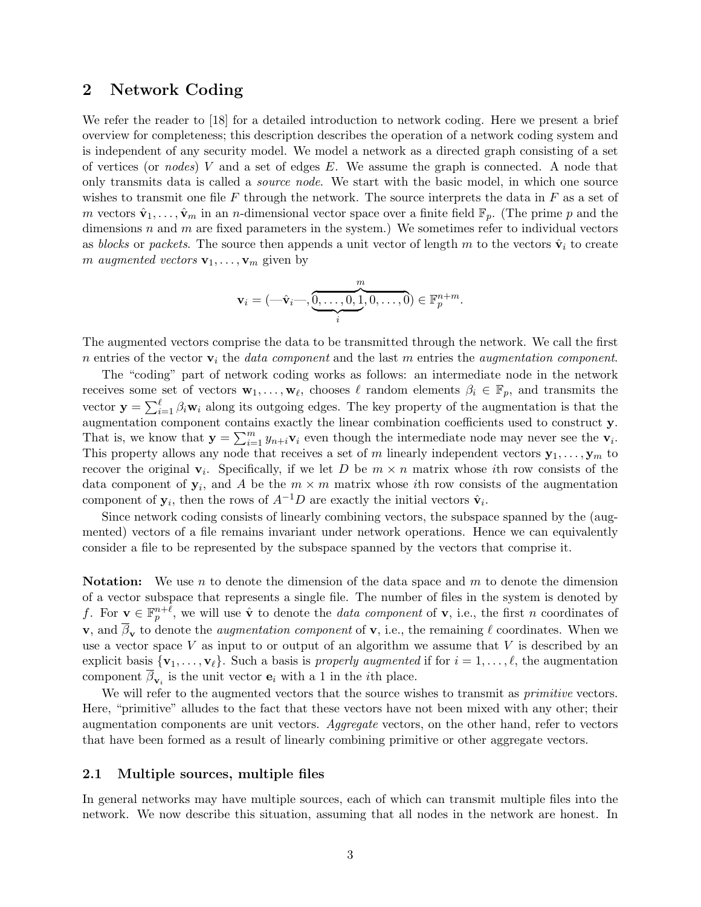### 2 Network Coding

We refer the reader to [18] for a detailed introduction to network coding. Here we present a brief overview for completeness; this description describes the operation of a network coding system and is independent of any security model. We model a network as a directed graph consisting of a set of vertices (or *nodes*) V and a set of edges  $E$ . We assume the graph is connected. A node that only transmits data is called a source node. We start with the basic model, in which one source wishes to transmit one file F through the network. The source interprets the data in  $F$  as a set of m vectors  $\hat{\mathbf{v}}_1, \ldots, \hat{\mathbf{v}}_m$  in an n-dimensional vector space over a finite field  $\mathbb{F}_p$ . (The prime p and the dimensions  $n$  and  $m$  are fixed parameters in the system.) We sometimes refer to individual vectors as blocks or packets. The source then appends a unit vector of length m to the vectors  $\hat{\mathbf{v}}_i$  to create m augmented vectors  $\mathbf{v}_1, \ldots, \mathbf{v}_m$  given by

$$
\mathbf{v}_i = (-\hat{\mathbf{v}}_i, \dots, \underbrace{0, \dots, 0, 1}_{i}, 0, \dots, 0) \in \mathbb{F}_p^{n+m}.
$$

The augmented vectors comprise the data to be transmitted through the network. We call the first n entries of the vector  $v_i$  the *data component* and the last m entries the *augmentation component*.

The "coding" part of network coding works as follows: an intermediate node in the network receives some set of vectors  $\mathbf{w}_1,\ldots,\mathbf{w}_\ell$ , chooses  $\ell$  random elements  $\beta_i \in \mathbb{F}_p$ , and transmits the vector  $\mathbf{y} = \sum_{i=1}^{\ell} \beta_i \mathbf{w}_i$  along its outgoing edges. The key property of the augmentation is that the augmentation component contains exactly the linear combination coefficients used to construct y. That is, we know that  $\mathbf{y} = \sum_{i=1}^{m} y_{n+i} \mathbf{v}_i$  even though the intermediate node may never see the  $\mathbf{v}_i$ . This property allows any node that receives a set of m linearly independent vectors  $\mathbf{y}_1, \ldots, \mathbf{y}_m$  to recover the original  $v_i$ . Specifically, if we let D be  $m \times n$  matrix whose *i*th row consists of the data component of  $y_i$ , and A be the  $m \times m$  matrix whose *i*th row consists of the augmentation component of  $y_i$ , then the rows of  $A^{-1}D$  are exactly the initial vectors  $\hat{v}_i$ .

Since network coding consists of linearly combining vectors, the subspace spanned by the (augmented) vectors of a file remains invariant under network operations. Hence we can equivalently consider a file to be represented by the subspace spanned by the vectors that comprise it.

**Notation:** We use n to denote the dimension of the data space and  $m$  to denote the dimension of a vector subspace that represents a single file. The number of files in the system is denoted by f. For  $\mathbf{v} \in \mathbb{F}_p^{n+\ell}$ , we will use  $\hat{\mathbf{v}}$  to denote the *data component* of  $\mathbf{v}$ , i.e., the first *n* coordinates of **v**, and  $\beta_{\mathbf{v}}$  to denote the *augmentation component* of **v**, i.e., the remaining  $\ell$  coordinates. When we use a vector space  $V$  as input to or output of an algorithm we assume that  $V$  is described by an explicit basis  $\{v_1, \ldots, v_\ell\}$ . Such a basis is properly augmented if for  $i = 1, \ldots, \ell$ , the augmentation component  $\beta_{\mathbf{v}_i}$  is the unit vector  $\mathbf{e}_i$  with a 1 in the *i*th place.

We will refer to the augmented vectors that the source wishes to transmit as *primitive* vectors. Here, "primitive" alludes to the fact that these vectors have not been mixed with any other; their augmentation components are unit vectors. Aggregate vectors, on the other hand, refer to vectors that have been formed as a result of linearly combining primitive or other aggregate vectors.

#### 2.1 Multiple sources, multiple files

In general networks may have multiple sources, each of which can transmit multiple files into the network. We now describe this situation, assuming that all nodes in the network are honest. In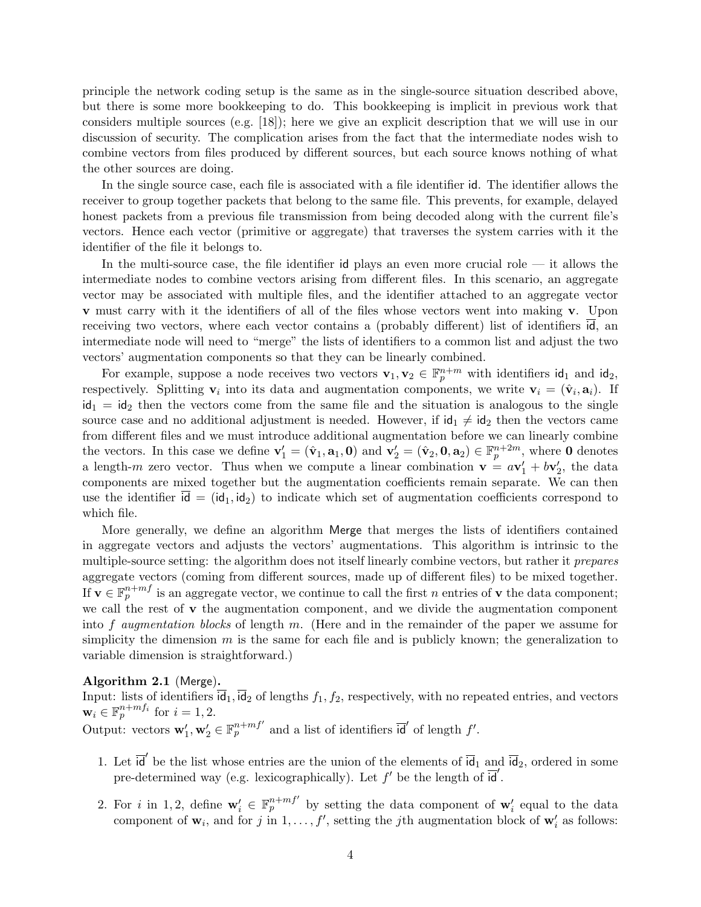principle the network coding setup is the same as in the single-source situation described above, but there is some more bookkeeping to do. This bookkeeping is implicit in previous work that considers multiple sources (e.g. [18]); here we give an explicit description that we will use in our discussion of security. The complication arises from the fact that the intermediate nodes wish to combine vectors from files produced by different sources, but each source knows nothing of what the other sources are doing.

In the single source case, each file is associated with a file identifier id. The identifier allows the receiver to group together packets that belong to the same file. This prevents, for example, delayed honest packets from a previous file transmission from being decoded along with the current file's vectors. Hence each vector (primitive or aggregate) that traverses the system carries with it the identifier of the file it belongs to.

In the multi-source case, the file identifier id plays an even more crucial role — it allows the intermediate nodes to combine vectors arising from different files. In this scenario, an aggregate vector may be associated with multiple files, and the identifier attached to an aggregate vector v must carry with it the identifiers of all of the files whose vectors went into making v. Upon receiving two vectors, where each vector contains a (probably different) list of identifiers id, an intermediate node will need to "merge" the lists of identifiers to a common list and adjust the two vectors' augmentation components so that they can be linearly combined.

For example, suppose a node receives two vectors  $\mathbf{v}_1, \mathbf{v}_2 \in \mathbb{F}_p^{n+m}$  with identifiers  $\mathsf{id}_1$  and  $\mathsf{id}_2$ , respectively. Splitting  $v_i$  into its data and augmentation components, we write  $v_i = (\hat{v}_i, a_i)$ . If  $id_1 = id_2$  then the vectors come from the same file and the situation is analogous to the single source case and no additional adjustment is needed. However, if  $id_1 \neq id_2$  then the vectors came from different files and we must introduce additional augmentation before we can linearly combine the vectors. In this case we define  $\mathbf{v}'_1 = (\hat{\mathbf{v}}_1, \mathbf{a}_1, \mathbf{0})$  and  $\mathbf{v}'_2 = (\hat{\mathbf{v}}_2, \mathbf{0}, \mathbf{a}_2) \in \mathbb{F}_p^{n+2m}$ , where **0** denotes a length-m zero vector. Thus when we compute a linear combination  $\mathbf{v} = a\mathbf{v}'_1 + b\mathbf{v}'_2$ , the data components are mixed together but the augmentation coefficients remain separate. We can then use the identifier  $\overline{\mathbf{d}} = (\mathbf{d}_1, \mathbf{d}_2)$  to indicate which set of augmentation coefficients correspond to which file.

More generally, we define an algorithm Merge that merges the lists of identifiers contained in aggregate vectors and adjusts the vectors' augmentations. This algorithm is intrinsic to the multiple-source setting: the algorithm does not itself linearly combine vectors, but rather it prepares aggregate vectors (coming from different sources, made up of different files) to be mixed together. If  $\mathbf{v} \in \mathbb{F}_p^{n+mf}$  is an aggregate vector, we continue to call the first n entries of  $\mathbf{v}$  the data component; we call the rest of  $\bf{v}$  the augmentation component, and we divide the augmentation component into f augmentation blocks of length m. (Here and in the remainder of the paper we assume for simplicity the dimension  $m$  is the same for each file and is publicly known; the generalization to variable dimension is straightforward.)

#### Algorithm 2.1 (Merge).

Input: lists of identifiers  $\overline{id}_1$ ,  $\overline{id}_2$  of lengths  $f_1, f_2$ , respectively, with no repeated entries, and vectors  $\mathbf{w}_i \in \mathbb{F}_p^{n+mf_i}$  for  $i = 1, 2$ . Output: vectors  $\mathbf{w}'_1, \mathbf{w}'_2 \in \mathbb{F}_p^{n+m}$  and a list of identifiers  $\overline{\mathsf{id}}'$  of length  $f'$ .

- 1. Let  $\overline{id}'$  be the list whose entries are the union of the elements of  $\overline{id}_1$  and  $\overline{id}_2$ , ordered in some pre-determined way (e.g. lexicographically). Let  $f'$  be the length of  $\overline{id}'$ .
- 2. For i in 1,2, define  $\mathbf{w}'_i \in \mathbb{F}_p^{n+m}$  by setting the data component of  $\mathbf{w}'_i$  equal to the data component of  $\mathbf{w}_i$ , and for j in 1, ..., f', setting the jth augmentation block of  $\mathbf{w}'_i$  as follows: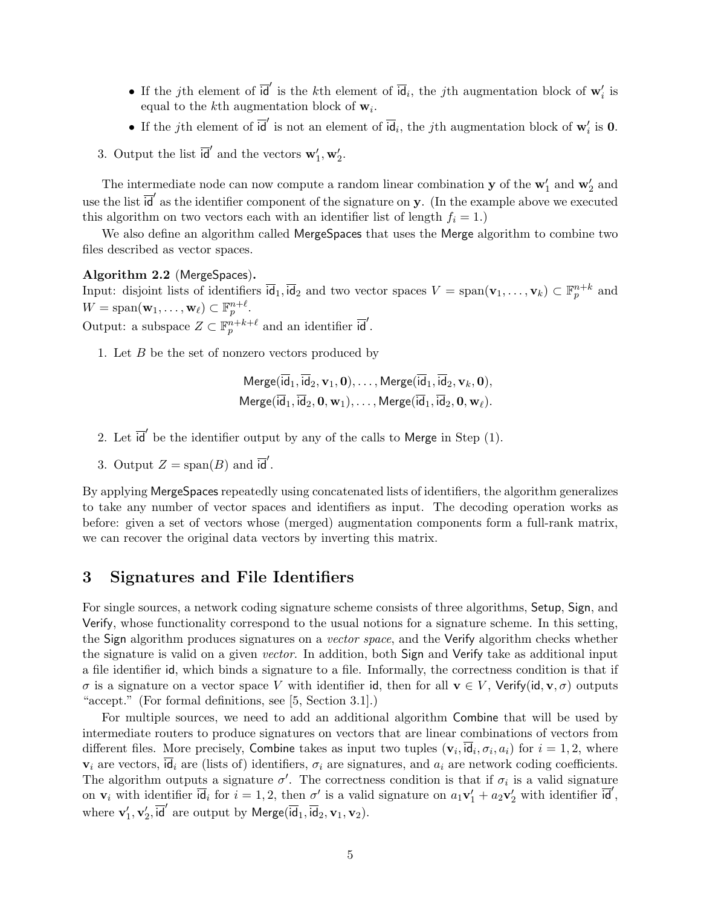- If the jth element of  $\overline{id}'$  is the kth element of  $\overline{id}_i$ , the jth augmentation block of  $w'_i$  is equal to the k<sup>th</sup> augmentation block of  $w_i$ .
- If the jth element of  $\overline{id}'$  is not an element of  $\overline{id}_i$ , the jth augmentation block of  $w'_i$  is 0.
- 3. Output the list  $\overline{id}'$  and the vectors  $w'_1, w'_2$ .

The intermediate node can now compute a random linear combination **y** of the  $w'_1$  and  $w'_2$  and use the list  $\overline{id}'$  as the identifier component of the signature on y. (In the example above we executed this algorithm on two vectors each with an identifier list of length  $f_i = 1$ .

We also define an algorithm called MergeSpaces that uses the Merge algorithm to combine two files described as vector spaces.

#### Algorithm 2.2 (MergeSpaces).

Input: disjoint lists of identifiers  $\overline{\mathsf{id}}_1, \overline{\mathsf{id}}_2$  and two vector spaces  $V = \text{span}(\mathbf{v}_1, \dots, \mathbf{v}_k) \subset \mathbb{F}_p^{n+k}$  and  $W = \text{span}(\mathbf{w}_1, \dots, \mathbf{w}_\ell) \subset \mathbb{F}_p^{n+\ell}.$ Output: a subspace  $Z \subset \mathbb{F}_p^{n+k+\ell}$  and an identifier  $\overline{\mathsf{id}}'$ .

1. Let  $B$  be the set of nonzero vectors produced by

$$
\mathsf{Merge}(\mathsf{id}_1,\mathsf{id}_2,\mathbf{v}_1,\mathbf{0}),\ldots,\mathsf{Merge}(\mathsf{id}_1,\mathsf{id}_2,\mathbf{v}_k,\mathbf{0}),
$$
  

$$
\mathsf{Merge}(\mathsf{id}_1,\mathsf{id}_2,\mathbf{0},\mathbf{w}_1),\ldots,\mathsf{Merge}(\mathsf{id}_1,\mathsf{id}_2,\mathbf{0},\mathbf{w}_\ell).
$$

- 2. Let  $\overline{id}'$  be the identifier output by any of the calls to Merge in Step (1).
- 3. Output  $Z = \text{span}(B)$  and  $\overline{\mathsf{id}}'$ .

By applying MergeSpaces repeatedly using concatenated lists of identifiers, the algorithm generalizes to take any number of vector spaces and identifiers as input. The decoding operation works as before: given a set of vectors whose (merged) augmentation components form a full-rank matrix, we can recover the original data vectors by inverting this matrix.

### 3 Signatures and File Identifiers

For single sources, a network coding signature scheme consists of three algorithms, Setup, Sign, and Verify, whose functionality correspond to the usual notions for a signature scheme. In this setting, the Sign algorithm produces signatures on a vector space, and the Verify algorithm checks whether the signature is valid on a given vector. In addition, both Sign and Verify take as additional input a file identifier id, which binds a signature to a file. Informally, the correctness condition is that if  $\sigma$  is a signature on a vector space V with identifier id, then for all  $\mathbf{v} \in V$ , Verify(id,  $\mathbf{v}, \sigma$ ) outputs "accept." (For formal definitions, see [5, Section 3.1].)

For multiple sources, we need to add an additional algorithm Combine that will be used by intermediate routers to produce signatures on vectors that are linear combinations of vectors from different files. More precisely, Combine takes as input two tuples  $(v_i, id_i, \sigma_i, a_i)$  for  $i = 1, 2$ , where  $\mathbf{v}_i$  are vectors,  $\overline{\mathbf{d}}_i$  are (lists of) identifiers,  $\sigma_i$  are signatures, and  $a_i$  are network coding coefficients. The algorithm outputs a signature  $\sigma'$ . The correctness condition is that if  $\sigma_i$  is a valid signature on  $\mathbf{v}_i$  with identifier  $\overline{\mathbf{id}}_i$  for  $i = 1, 2$ , then  $\sigma'$  is a valid signature on  $a_1\mathbf{v}'_1 + a_2\mathbf{v}'_2$  with identifier  $\overline{\mathbf{id}}'$ , where  $\mathbf{v}'_1, \mathbf{v}'_2, \overline{\mathsf{id}}'$  are output by  $\mathsf{Merge}(\overline{\mathsf{id}}_1, \overline{\mathsf{id}}_2, \mathbf{v}_1, \mathbf{v}_2)$ .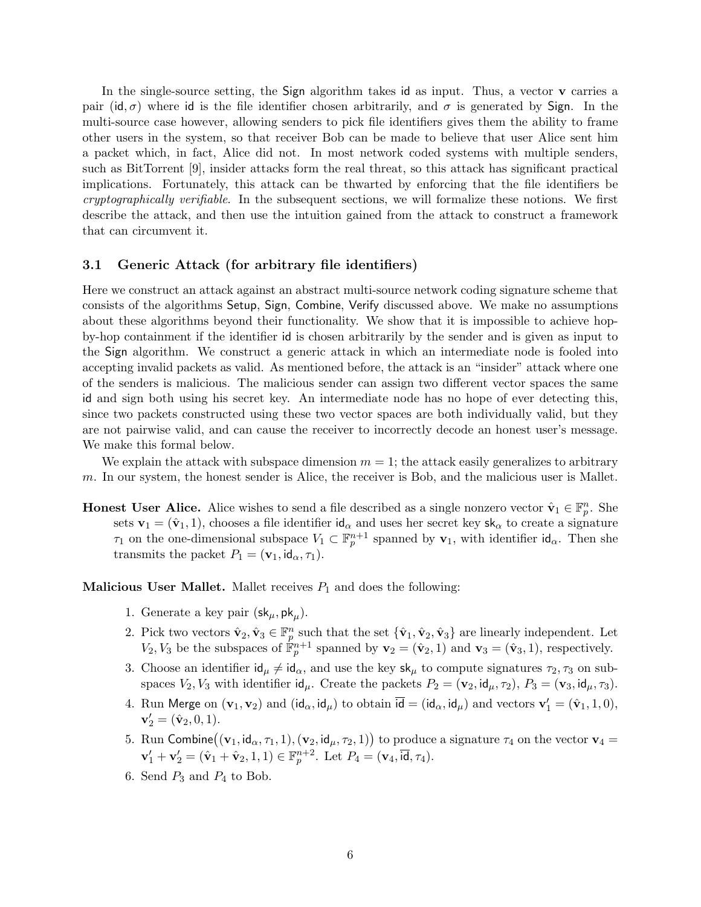In the single-source setting, the Sign algorithm takes id as input. Thus, a vector **v** carries a pair (id,  $\sigma$ ) where id is the file identifier chosen arbitrarily, and  $\sigma$  is generated by Sign. In the multi-source case however, allowing senders to pick file identifiers gives them the ability to frame other users in the system, so that receiver Bob can be made to believe that user Alice sent him a packet which, in fact, Alice did not. In most network coded systems with multiple senders, such as BitTorrent [9], insider attacks form the real threat, so this attack has significant practical implications. Fortunately, this attack can be thwarted by enforcing that the file identifiers be cryptographically verifiable. In the subsequent sections, we will formalize these notions. We first describe the attack, and then use the intuition gained from the attack to construct a framework that can circumvent it.

#### 3.1 Generic Attack (for arbitrary file identifiers)

Here we construct an attack against an abstract multi-source network coding signature scheme that consists of the algorithms Setup, Sign, Combine, Verify discussed above. We make no assumptions about these algorithms beyond their functionality. We show that it is impossible to achieve hopby-hop containment if the identifier id is chosen arbitrarily by the sender and is given as input to the Sign algorithm. We construct a generic attack in which an intermediate node is fooled into accepting invalid packets as valid. As mentioned before, the attack is an "insider" attack where one of the senders is malicious. The malicious sender can assign two different vector spaces the same id and sign both using his secret key. An intermediate node has no hope of ever detecting this, since two packets constructed using these two vector spaces are both individually valid, but they are not pairwise valid, and can cause the receiver to incorrectly decode an honest user's message. We make this formal below.

We explain the attack with subspace dimension  $m = 1$ ; the attack easily generalizes to arbitrary m. In our system, the honest sender is Alice, the receiver is Bob, and the malicious user is Mallet.

**Honest User Alice.** Alice wishes to send a file described as a single nonzero vector  $\hat{\mathbf{v}}_1 \in \mathbb{F}_p^n$ . She sets  $\mathbf{v}_1 = (\hat{\mathbf{v}}_1, 1)$ , chooses a file identifier  $\mathbf{id}_{\alpha}$  and uses her secret key  $\mathbf{sk}_{\alpha}$  to create a signature  $\tau_1$  on the one-dimensional subspace  $V_1 \subset \mathbb{F}_p^{n+1}$  spanned by  $\mathbf{v}_1$ , with identifier  $\mathsf{id}_{\alpha}$ . Then she transmits the packet  $P_1 = (\mathbf{v}_1, \mathbf{id}_{\alpha}, \tau_1).$ 

Malicious User Mallet. Mallet receives  $P_1$  and does the following:

- 1. Generate a key pair  $(\mathsf{sk}_{\mu}, \mathsf{pk}_{\mu}).$
- 2. Pick two vectors  $\hat{\mathbf{v}}_2, \hat{\mathbf{v}}_3 \in \mathbb{F}_p^n$  such that the set  $\{\hat{\mathbf{v}}_1, \hat{\mathbf{v}}_2, \hat{\mathbf{v}}_3\}$  are linearly independent. Let  $V_2, V_3$  be the subspaces of  $\mathbb{F}_p^{n+1}$  spanned by  $\mathbf{v}_2 = (\hat{\mathbf{v}}_2, 1)$  and  $\mathbf{v}_3 = (\hat{\mathbf{v}}_3, 1)$ , respectively.
- 3. Choose an identifier  $\mathsf{id}_\mu \neq \mathsf{id}_\alpha$ , and use the key  $\mathsf{sk}_\mu$  to compute signatures  $\tau_2, \tau_3$  on subspaces  $V_2$ ,  $V_3$  with identifier  $\mathsf{id}_{\mu}$ . Create the packets  $P_2 = (\mathbf{v}_2, \mathsf{id}_{\mu}, \tau_2)$ ,  $P_3 = (\mathbf{v}_3, \mathsf{id}_{\mu}, \tau_3)$ .
- 4. Run Merge on  $(\mathbf{v}_1, \mathbf{v}_2)$  and  $(\mathsf{id}_{\alpha}, \mathsf{id}_{\mu})$  to obtain  $\overline{\mathsf{id}} = (\mathsf{id}_{\alpha}, \mathsf{id}_{\mu})$  and vectors  $\mathbf{v}'_1 = (\hat{\mathbf{v}}_1, 1, 0),$  $v'_2 = (\hat{v}_2, 0, 1).$
- 5. Run Combine $((\mathbf{v}_1, \mathsf{id}_{\alpha}, \tau_1, 1), (\mathbf{v}_2, \mathsf{id}_{\mu}, \tau_2, 1))$  to produce a signature  $\tau_4$  on the vector  $\mathbf{v}_4 =$  $\mathbf{v}'_1 + \mathbf{v}'_2 = (\hat{\mathbf{v}}_1 + \hat{\mathbf{v}}_2, 1, 1) \in \mathbb{F}_p^{n+2}$ . Let  $P_4 = (\mathbf{v}_4, \overline{\mathbf{id}}, \tau_4)$ .
- 6. Send  $P_3$  and  $P_4$  to Bob.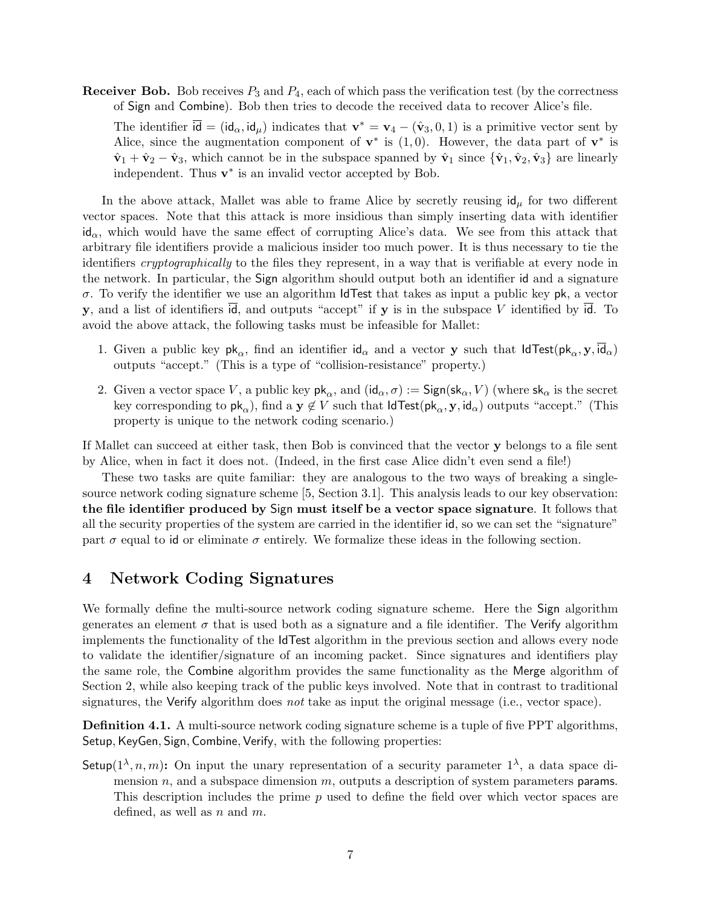**Receiver Bob.** Bob receives  $P_3$  and  $P_4$ , each of which pass the verification test (by the correctness of Sign and Combine). Bob then tries to decode the received data to recover Alice's file.

The identifier  $\overline{id} = (id_{\alpha}, id_{\mu})$  indicates that  $\mathbf{v}^* = \mathbf{v}_4 - (\hat{\mathbf{v}}_3, 0, 1)$  is a primitive vector sent by Alice, since the augmentation component of  $v^*$  is (1,0). However, the data part of  $v^*$  is  $\hat{\mathbf{v}}_1 + \hat{\mathbf{v}}_2 - \hat{\mathbf{v}}_3$ , which cannot be in the subspace spanned by  $\hat{\mathbf{v}}_1$  since  $\{\hat{\mathbf{v}}_1, \hat{\mathbf{v}}_2, \hat{\mathbf{v}}_3\}$  are linearly independent. Thus  $\mathbf{v}^*$  is an invalid vector accepted by Bob.

In the above attack, Mallet was able to frame Alice by secretly reusing  $\mathsf{id}_{\mu}$  for two different vector spaces. Note that this attack is more insidious than simply inserting data with identifier  $id_{\alpha}$ , which would have the same effect of corrupting Alice's data. We see from this attack that arbitrary file identifiers provide a malicious insider too much power. It is thus necessary to tie the identifiers cryptographically to the files they represent, in a way that is verifiable at every node in the network. In particular, the Sign algorithm should output both an identifier id and a signature  $\sigma$ . To verify the identifier we use an algorithm **IdTest** that takes as input a public key pk, a vector **y**, and a list of identifiers id, and outputs "accept" if **y** is in the subspace V identified by id. To avoid the above attack, the following tasks must be infeasible for Mallet:

- 1. Given a public key  $pk_{\alpha}$ , find an identifier  $id_{\alpha}$  and a vector y such that  $ldTest(pk_{\alpha}, y, \overline{id}_{\alpha})$ outputs "accept." (This is a type of "collision-resistance" property.)
- 2. Given a vector space V, a public key  $pk_{\alpha}$ , and  $(id_{\alpha}, \sigma) := Sign(sk_{\alpha}, V)$  (where  $sk_{\alpha}$  is the secret key corresponding to  $\mathsf{pk}_{\alpha}$ ), find a  $\mathbf{y} \notin V$  such that  $\mathsf{Id}\mathsf{Test}(\mathsf{pk}_{\alpha}, \mathbf{y}, \mathsf{id}_{\alpha})$  outputs "accept." (This property is unique to the network coding scenario.)

If Mallet can succeed at either task, then Bob is convinced that the vector y belongs to a file sent by Alice, when in fact it does not. (Indeed, in the first case Alice didn't even send a file!)

These two tasks are quite familiar: they are analogous to the two ways of breaking a singlesource network coding signature scheme [5, Section 3.1]. This analysis leads to our key observation: the file identifier produced by Sign must itself be a vector space signature. It follows that all the security properties of the system are carried in the identifier id, so we can set the "signature" part  $\sigma$  equal to id or eliminate  $\sigma$  entirely. We formalize these ideas in the following section.

# 4 Network Coding Signatures

We formally define the multi-source network coding signature scheme. Here the Sign algorithm generates an element  $\sigma$  that is used both as a signature and a file identifier. The Verify algorithm implements the functionality of the IdTest algorithm in the previous section and allows every node to validate the identifier/signature of an incoming packet. Since signatures and identifiers play the same role, the Combine algorithm provides the same functionality as the Merge algorithm of Section 2, while also keeping track of the public keys involved. Note that in contrast to traditional signatures, the Verify algorithm does not take as input the original message (i.e., vector space).

Definition 4.1. A multi-source network coding signature scheme is a tuple of five PPT algorithms, Setup, KeyGen, Sign, Combine, Verify, with the following properties:

Setup( $1^{\lambda}, n, m$ ): On input the unary representation of a security parameter  $1^{\lambda}$ , a data space dimension  $n$ , and a subspace dimension  $m$ , outputs a description of system parameters params. This description includes the prime p used to define the field over which vector spaces are defined, as well as  $n$  and  $m$ .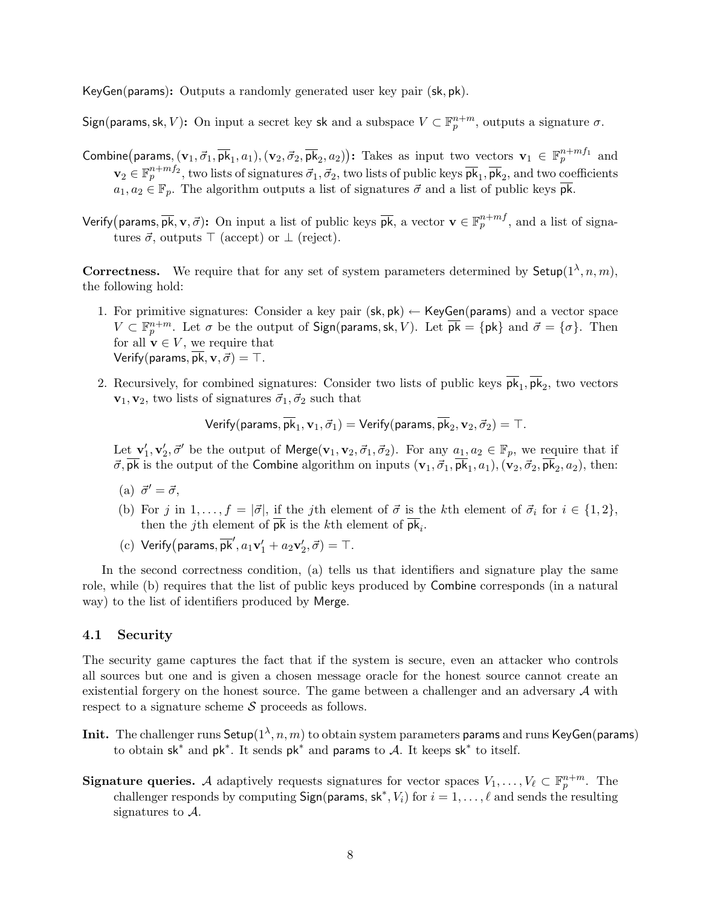KeyGen(params): Outputs a randomly generated user key pair (sk, pk).

Sign(params, sk, V): On input a secret key sk and a subspace  $V \subset \mathbb{F}_p^{n+m}$ , outputs a signature  $\sigma$ .

- Combine $(\mathsf{params}, (\mathbf{v}_1, \vec{\sigma}_1, \overline{\mathsf{pk}}_1, a_1), (\mathbf{v}_2, \vec{\sigma}_2, \overline{\mathsf{pk}}_2, a_2))$ : Takes as input two vectors  $\mathbf{v}_1 \in \mathbb{F}_p^{n+mf_1}$  and  $\mathbf{v}_2 \in \mathbb{F}_p^{n+mf_2}$ , two lists of signatures  $\vec{\sigma}_1, \vec{\sigma}_2$ , two lists of public keys  $\overline{\mathsf{pk}}_1$ ,  $\overline{\mathsf{pk}}_2$ , and two coefficients  $a_1, a_2 \in \mathbb{F}_p$ . The algorithm outputs a list of signatures  $\vec{\sigma}$  and a list of public keys  $\overline{pk}$ .
- Verify (params,  $\overline{pk}, \mathbf{v}, \vec{\sigma}$ ): On input a list of public keys  $\overline{pk},$  a vector  $\mathbf{v} \in \mathbb{F}_p^{n+mf}$ , and a list of signatures  $\vec{\sigma}$ , outputs  $\top$  (accept) or  $\bot$  (reject).

**Correctness.** We require that for any set of system parameters determined by  $\mathsf{Setup}(1^{\lambda}, n, m)$ , the following hold:

- 1. For primitive signatures: Consider a key pair  $(\mathsf{sk}, \mathsf{pk}) \leftarrow \mathsf{KeyGen}(\mathsf{params})$  and a vector space  $V \subset \mathbb{F}_p^{n+m}$ . Let  $\sigma$  be the output of Sign(params, sk, V). Let  $\overline{pk} = \{pk\}$  and  $\overline{\sigma} = \{\sigma\}$ . Then for all  $\mathbf{v} \in V$ , we require that Verify(params,  $\overline{pk}$ ,  $\mathbf{v}$ ,  $\vec{\sigma}$ ) = T.
- 2. Recursively, for combined signatures: Consider two lists of public keys  $pk_1, pk_2$ , two vectors  $\mathbf{v}_1, \mathbf{v}_2$ , two lists of signatures  $\vec{\sigma}_1, \vec{\sigma}_2$  such that

$$
\mathsf{Verify}(\mathsf{params}, \overline{\mathsf{pk}}_1, \mathbf{v}_1, \vec{\sigma}_1) = \mathsf{Verify}(\mathsf{params}, \overline{\mathsf{pk}}_2, \mathbf{v}_2, \vec{\sigma}_2) = \top.
$$

Let  $\mathbf{v}'_1, \mathbf{v}'_2, \vec{\sigma}'$  be the output of Merge $(\mathbf{v}_1, \mathbf{v}_2, \vec{\sigma}_1, \vec{\sigma}_2)$ . For any  $a_1, a_2 \in \mathbb{F}_p$ , we require that if  $\vec{\sigma}$ , pk is the output of the Combine algorithm on inputs  $(\mathbf{v}_1, \vec{\sigma}_1, \mathsf{pk}_1, a_1), (\mathbf{v}_2, \vec{\sigma}_2, \mathsf{pk}_2, a_2)$ , then:

- (a)  $\vec{\sigma}' = \vec{\sigma}$ ,
- (b) For j in  $1, \ldots, f = |\vec{\sigma}|$ , if the jth element of  $\vec{\sigma}$  is the kth element of  $\vec{\sigma}_i$  for  $i \in \{1, 2\}$ , then the *j*th element of **pk** is the *k*<sup>th</sup> element of **p** $k_i$ .
- (c) Verify (params,  $\overline{pk}', a_1\mathbf{v}'_1 + a_2\mathbf{v}'_2, \vec{\sigma}$ ) = T.

In the second correctness condition, (a) tells us that identifiers and signature play the same role, while (b) requires that the list of public keys produced by Combine corresponds (in a natural way) to the list of identifiers produced by Merge.

### 4.1 Security

The security game captures the fact that if the system is secure, even an attacker who controls all sources but one and is given a chosen message oracle for the honest source cannot create an existential forgery on the honest source. The game between a challenger and an adversary  $A$  with respect to a signature scheme  $S$  proceeds as follows.

- Init. The challenger runs Setup $(1^{\lambda},n,m)$  to obtain system parameters params and runs KeyGen(params) to obtain  $sk^*$  and  $pk^*$ . It sends  $pk^*$  and params to A. It keeps  $sk^*$  to itself.
- **Signature queries.** A adaptively requests signatures for vector spaces  $V_1, \ldots, V_\ell \subset \mathbb{F}_p^{n+m}$ . The challenger responds by computing  $Sign(params, sk^*, V_i)$  for  $i = 1, ..., \ell$  and sends the resulting signatures to A.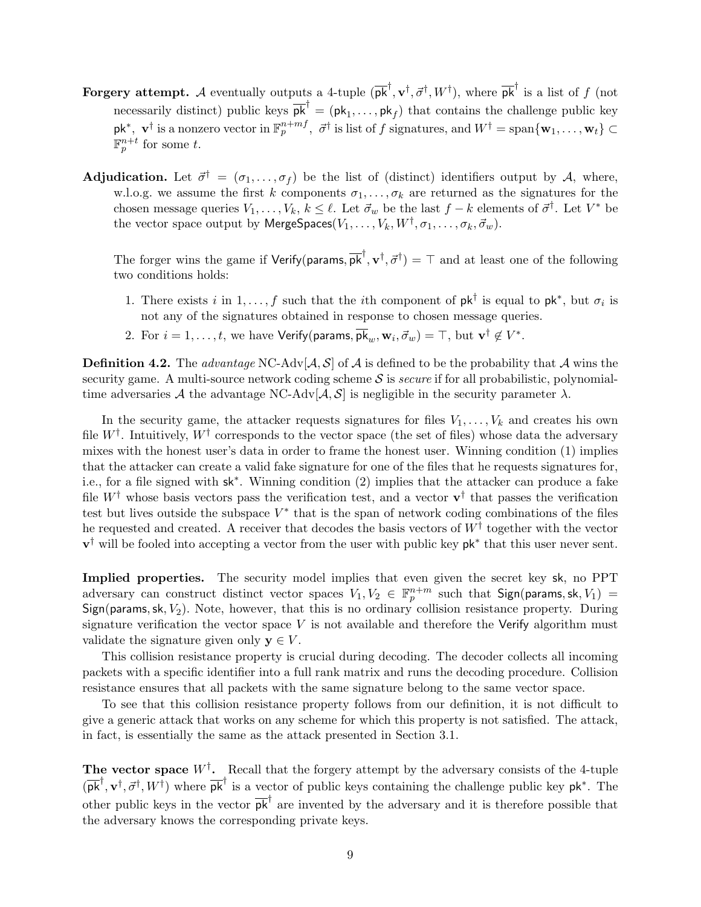- Forgery attempt. A eventually outputs a 4-tuple  $(\overline{pk}^{\dagger}, \mathbf{v}^{\dagger}, \vec{\sigma}^{\dagger}, W^{\dagger})$ , where  $\overline{pk}^{\dagger}$  is a list of f (not necessarily distinct) public keys  $\overline{pk}^{\dagger} = (pk_1, \ldots, pk_f)$  that contains the challenge public key pk<sup>\*</sup>,  $\mathbf{v}^{\dagger}$  is a nonzero vector in  $\mathbb{F}_p^{n+mf}$ ,  $\vec{\sigma}^{\dagger}$  is list of f signatures, and  $W^{\dagger} = \text{span}\{\mathbf{w}_1, \ldots, \mathbf{w}_t\} \subset$  $\mathbb{F}_p^{n+t}$  for some t.
- **Adjudication.** Let  $\vec{\sigma}^{\dagger} = (\sigma_1, \ldots, \sigma_f)$  be the list of (distinct) identifiers output by A, where, w.l.o.g. we assume the first k components  $\sigma_1, \ldots, \sigma_k$  are returned as the signatures for the chosen message queries  $V_1, \ldots, V_k, k \leq \ell$ . Let  $\vec{\sigma}_w$  be the last  $f - k$  elements of  $\vec{\sigma}^{\dagger}$ . Let  $V^*$  be the vector space output by  $\mathsf{MergeSpaces}(V_1,\ldots,V_k,W^\dagger,\sigma_1,\ldots,\sigma_k,\vec{\sigma}_w).$

The forger wins the game if Verify(params,  $\overline{pk}^{\dagger}$ ,  $\mathbf{v}^{\dagger}$ ,  $\overline{\sigma}^{\dagger}$ ) =  $\top$  and at least one of the following two conditions holds:

- 1. There exists i in 1, ..., f such that the ith component of  $pk^{\dagger}$  is equal to  $pk^*$ , but  $\sigma_i$  is not any of the signatures obtained in response to chosen message queries.
- 2. For  $i = 1, ..., t$ , we have Verify(params,  $\overline{pk}_w, \mathbf{w}_i, \vec{\sigma}_w) = \top$ , but  $\mathbf{v}^\dagger \notin V^*$ .

**Definition 4.2.** The *advantage* NC-Adv $[\mathcal{A}, \mathcal{S}]$  of  $\mathcal{A}$  is defined to be the probability that  $\mathcal{A}$  wins the security game. A multi-source network coding scheme  $\mathcal S$  is secure if for all probabilistic, polynomialtime adversaries A the advantage NC-Adv $[\mathcal{A}, \mathcal{S}]$  is negligible in the security parameter  $\lambda$ .

In the security game, the attacker requests signatures for files  $V_1, \ldots, V_k$  and creates his own file  $W^{\dagger}$ . Intuitively,  $W^{\dagger}$  corresponds to the vector space (the set of files) whose data the adversary mixes with the honest user's data in order to frame the honest user. Winning condition (1) implies that the attacker can create a valid fake signature for one of the files that he requests signatures for, i.e., for a file signed with sk<sup>∗</sup> . Winning condition (2) implies that the attacker can produce a fake file  $W^{\dagger}$  whose basis vectors pass the verification test, and a vector  $\mathbf{v}^{\dagger}$  that passes the verification test but lives outside the subspace  $V^*$  that is the span of network coding combinations of the files he requested and created. A receiver that decodes the basis vectors of  $W^{\dagger}$  together with the vector  $\mathbf{v}^{\dagger}$  will be fooled into accepting a vector from the user with public key  $\mathsf{pk}^*$  that this user never sent.

Implied properties. The security model implies that even given the secret key sk, no PPT adversary can construct distinct vector spaces  $V_1, V_2 \in \mathbb{F}_p^{n+m}$  such that Sign(params, sk,  $V_1$ ) =  $Sign(param, sk, V_2)$ . Note, however, that this is no ordinary collision resistance property. During signature verification the vector space  $V$  is not available and therefore the Verify algorithm must validate the signature given only  $y \in V$ .

This collision resistance property is crucial during decoding. The decoder collects all incoming packets with a specific identifier into a full rank matrix and runs the decoding procedure. Collision resistance ensures that all packets with the same signature belong to the same vector space.

To see that this collision resistance property follows from our definition, it is not difficult to give a generic attack that works on any scheme for which this property is not satisfied. The attack, in fact, is essentially the same as the attack presented in Section 3.1.

The vector space  $W^{\dagger}$ . Recall that the forgery attempt by the adversary consists of the 4-tuple  $(\overline{\mathbf{p}}\mathbf{k}^{\dagger}, \mathbf{v}^{\dagger}, \overline{\mathbf{\sigma}}^{\dagger}, W^{\dagger})$  where  $\overline{\mathbf{p}}\mathbf{k}^{\dagger}$  is a vector of public keys containing the challenge public key  $\mathbf{p}\mathbf{k}^*$ . The other public keys in the vector  $\overline{pk}^{\dagger}$  are invented by the adversary and it is therefore possible that the adversary knows the corresponding private keys.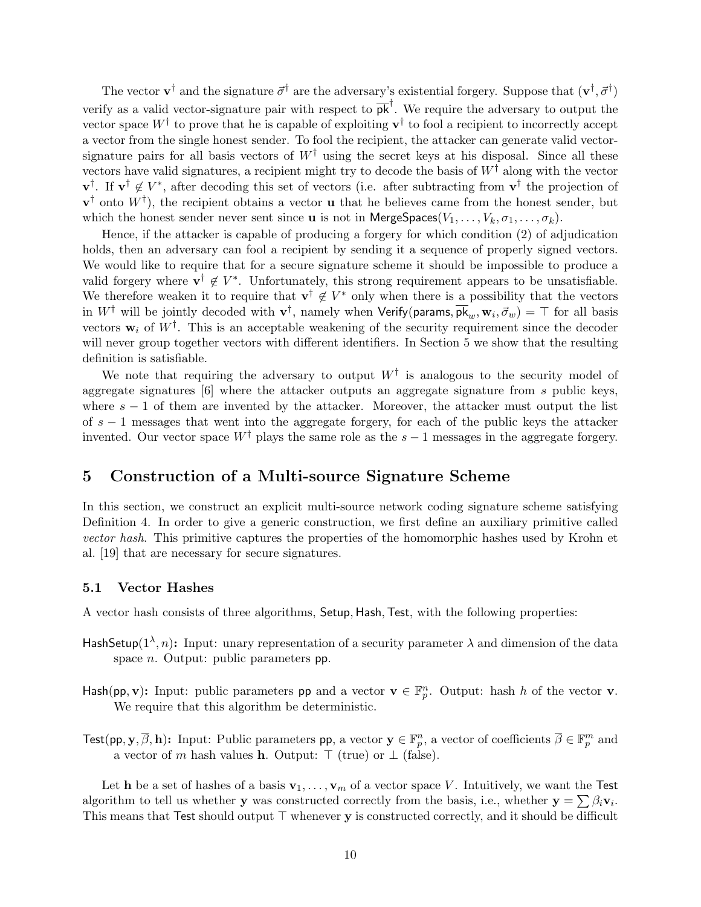The vector  $\mathbf{v}^\dagger$  and the signature  $\vec{\sigma}^\dagger$  are the adversary's existential forgery. Suppose that  $(\mathbf{v}^\dagger, \vec{\sigma}^\dagger)$ verify as a valid vector-signature pair with respect to  $\overline{pk}^{\dagger}$ . We require the adversary to output the vector space  $W^{\dagger}$  to prove that he is capable of exploiting  $\mathbf{v}^{\dagger}$  to fool a recipient to incorrectly accept a vector from the single honest sender. To fool the recipient, the attacker can generate valid vectorsignature pairs for all basis vectors of  $W^{\dagger}$  using the secret keys at his disposal. Since all these vectors have valid signatures, a recipient might try to decode the basis of  $W^{\dagger}$  along with the vector  $\mathbf{v}^{\dagger}$ . If  $\mathbf{v}^{\dagger} \notin V^*$ , after decoding this set of vectors (i.e. after subtracting from  $\mathbf{v}^{\dagger}$  the projection of  $\mathbf{v}^{\dagger}$  onto  $W^{\dagger}$ ), the recipient obtains a vector **u** that he believes came from the honest sender, but which the honest sender never sent since **u** is not in MergeSpaces( $V_1, \ldots, V_k, \sigma_1, \ldots, \sigma_k$ ).

Hence, if the attacker is capable of producing a forgery for which condition (2) of adjudication holds, then an adversary can fool a recipient by sending it a sequence of properly signed vectors. We would like to require that for a secure signature scheme it should be impossible to produce a valid forgery where  $\mathbf{v}^{\dagger} \notin V^*$ . Unfortunately, this strong requirement appears to be unsatisfiable. We therefore weaken it to require that  $\mathbf{v}^{\dagger} \notin V^*$  only when there is a possibility that the vectors in  $W^\dagger$  will be jointly decoded with  $\mathbf{v}^\dagger$ , namely when Verify(params,  $\overline{\mathsf{pk}}_w, \mathbf{w}_i, \vec{\sigma}_w) = \top$  for all basis vectors  $w_i$  of  $W^{\dagger}$ . This is an acceptable weakening of the security requirement since the decoder will never group together vectors with different identifiers. In Section 5 we show that the resulting definition is satisfiable.

We note that requiring the adversary to output  $W^{\dagger}$  is analogous to the security model of aggregate signatures  $[6]$  where the attacker outputs an aggregate signature from s public keys, where  $s - 1$  of them are invented by the attacker. Moreover, the attacker must output the list of s − 1 messages that went into the aggregate forgery, for each of the public keys the attacker invented. Our vector space  $W^{\dagger}$  plays the same role as the s – 1 messages in the aggregate forgery.

### 5 Construction of a Multi-source Signature Scheme

In this section, we construct an explicit multi-source network coding signature scheme satisfying Definition 4. In order to give a generic construction, we first define an auxiliary primitive called vector hash. This primitive captures the properties of the homomorphic hashes used by Krohn et al. [19] that are necessary for secure signatures.

#### 5.1 Vector Hashes

A vector hash consists of three algorithms, Setup, Hash,Test, with the following properties:

- HashSetup( $1^{\lambda}, n$ ): Input: unary representation of a security parameter  $\lambda$  and dimension of the data space *n*. Output: public parameters **pp**.
- Hash(pp, v): Input: public parameters pp and a vector  $\mathbf{v} \in \mathbb{F}_p^n$ . Output: hash h of the vector v. We require that this algorithm be deterministic.
- Test(pp,  $\mathbf{y}, \overline{\beta}, \mathbf{h}$ ): Input: Public parameters pp, a vector  $\mathbf{y} \in \mathbb{F}_p^n$ , a vector of coefficients  $\overline{\beta} \in \mathbb{F}_p^m$  and a vector of m hash values **h**. Output:  $\top$  (true) or  $\bot$  (false).

Let **h** be a set of hashes of a basis  $\mathbf{v}_1, \ldots, \mathbf{v}_m$  of a vector space V. Intuitively, we want the Test algorithm to tell us whether y was constructed correctly from the basis, i.e., whether  $y = \sum \beta_i v_i$ . This means that Test should output  $\top$  whenever y is constructed correctly, and it should be difficult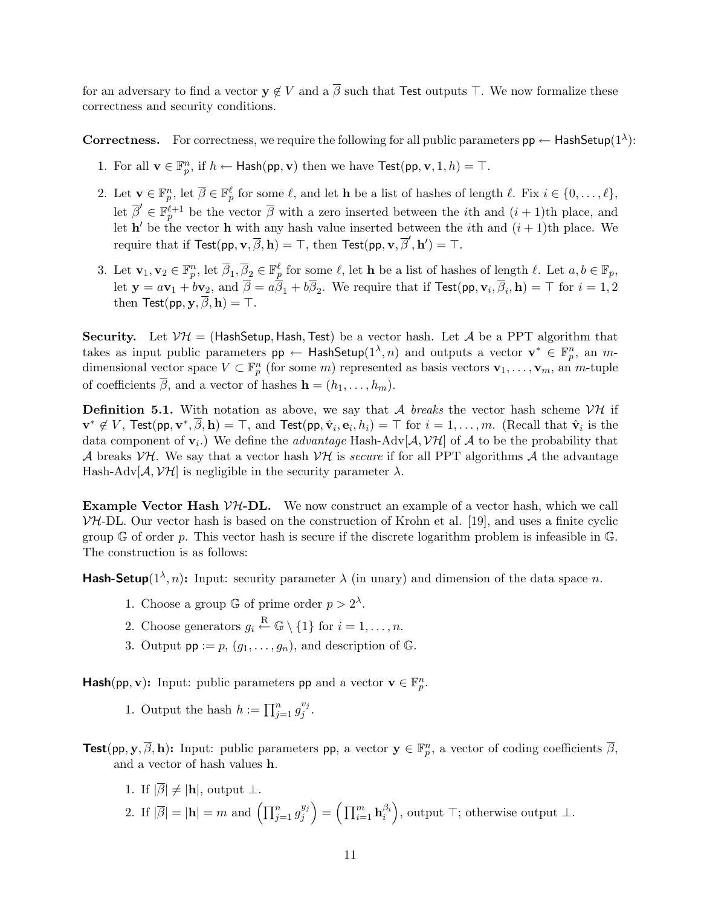for an adversary to find a vector  $y \notin V$  and a  $\overline{\beta}$  such that Test outputs  $\top$ . We now formalize these correctness and security conditions.

**Correctness.** For correctness, we require the following for all public parameters  $pp \leftarrow$  HashSetup(1<sup> $\lambda$ </sup>):

- 1. For all  $\mathbf{v} \in \mathbb{F}_p^n$ , if  $h \leftarrow$  Hash(pp,  $\mathbf{v}$ ) then we have Test(pp,  $\mathbf{v}, 1, h$ ) = T.
- 2. Let  $\mathbf{v} \in \mathbb{F}_p^n$ , let  $\overline{\beta} \in \mathbb{F}_p^\ell$  for some  $\ell$ , and let **h** be a list of hashes of length  $\ell$ . Fix  $i \in \{0, \ldots, \ell\}$ , let  $\overline{\beta}' \in \mathbb{F}_p^{\ell+1}$  be the vector  $\overline{\beta}$  with a zero inserted between the *i*th and  $(i + 1)$ th place, and let  $h'$  be the vector h with any hash value inserted between the *i*th and  $(i + 1)$ th place. We require that if  $\mathsf{Test}(\mathsf{pp}, \mathbf{v}, \overline{\beta}, \mathbf{h}) = \top$ , then  $\mathsf{Test}(\mathsf{pp}, \mathbf{v}, \overline{\beta}', \mathbf{h}') = \top$ .
- 3. Let  $\mathbf{v}_1, \mathbf{v}_2 \in \mathbb{F}_p^n$ , let  $\overline{\beta}_1, \overline{\beta}_2 \in \mathbb{F}_p^\ell$  for some  $\ell$ , let **h** be a list of hashes of length  $\ell$ . Let  $a, b \in \mathbb{F}_p$ , let  $\mathbf{y} = a\mathbf{v}_1 + b\mathbf{v}_2$ , and  $\overline{\beta} = a\overline{\beta}_1 + b\overline{\beta}_2$ . We require that if  $\mathsf{Test}(\mathsf{pp}, \mathbf{v}_i, \overline{\beta}_i, \mathbf{h}) = \top$  for  $i = 1, 2$ then Test(pp,  $\mathbf{y}, \overline{\beta}, \mathbf{h}$ ) = T.

Security. Let  $V\mathcal{H} =$  (HashSetup, Hash, Test) be a vector hash. Let A be a PPT algorithm that takes as input public parameters  $pp \leftarrow$  HashSetup $(1^{\lambda}, n)$  and outputs a vector  $\mathbf{v}^* \in \mathbb{F}_p^n$ , an mdimensional vector space  $V \subset \mathbb{F}_p^n$  (for some m) represented as basis vectors  $\mathbf{v}_1, \ldots, \mathbf{v}_m$ , an m-tuple of coefficients  $\overline{\beta}$ , and a vector of hashes  $\mathbf{h} = (h_1, \ldots, h_m)$ .

**Definition 5.1.** With notation as above, we say that A breaks the vector hash scheme  $V\mathcal{H}$  if  $\mathbf{v}^* \not\in V$ , Test(pp,  $\mathbf{v}^*, \overline{\beta}, \mathbf{h}) = \top$ , and Test(pp,  $\hat{\mathbf{v}}_i, \mathbf{e}_i, h_i) = \top$  for  $i = 1, \ldots, m$ . (Recall that  $\hat{\mathbf{v}}_i$  is the data component of  $\mathbf{v}_i$ .) We define the *advantage* Hash-Adv $[\mathcal{A}, \mathcal{VH}]$  of  $\mathcal A$  to be the probability that A breaks VH. We say that a vector hash  $V\mathcal{H}$  is secure if for all PPT algorithms A the advantage Hash-Adv $[\mathcal{A}, \mathcal{V}\mathcal{H}]$  is negligible in the security parameter  $\lambda$ .

**Example Vector Hash**  $V\mathcal{H}\text{-}\mathrm{DL}$ **.** We now construct an example of a vector hash, which we call  $V\mathcal{H}\text{-DL}$ . Our vector hash is based on the construction of Krohn et al. [19], and uses a finite cyclic group G of order p. This vector hash is secure if the discrete logarithm problem is infeasible in  $\mathbb{G}$ . The construction is as follows:

**Hash-Setup**( $1^{\lambda}, n$ ): Input: security parameter  $\lambda$  (in unary) and dimension of the data space n.

- 1. Choose a group  $\mathbb G$  of prime order  $p > 2^{\lambda}$ .
- 2. Choose generators  $g_i \stackrel{\text{R}}{\leftarrow} \mathbb{G} \setminus \{1\}$  for  $i = 1, \ldots, n$ .
- 3. Output  $pp := p$ ,  $(g_1, \ldots, g_n)$ , and description of G.

**Hash**(pp, **v**): Input: public parameters pp and a vector  $\mathbf{v} \in \mathbb{F}_p^n$ .

- 1. Output the hash  $h := \prod_{j=1}^n g_j^{v_j}$  $\frac{v_j}{j}$  .
- **Test**(pp, y,  $\overline{\beta}$ , h): Input: public parameters pp, a vector  $y \in \mathbb{F}_p^n$ , a vector of coding coefficients  $\overline{\beta}$ , and a vector of hash values h.
	- 1. If  $|\overline{\beta}| \neq |{\bf h}|$ , output  $\perp$ . 2. If  $|\overline{\beta}| = |\mathbf{h}| = m$  and  $\left(\prod_{j=1}^n g_j^{y_j}\right)$  $\begin{pmatrix} y_j \\ j \end{pmatrix} = \Big( \prod_{i=1}^m \mathbf{h}_i^{\beta_i} \Big), \text{output } \top; \text{otherwise output } \bot.$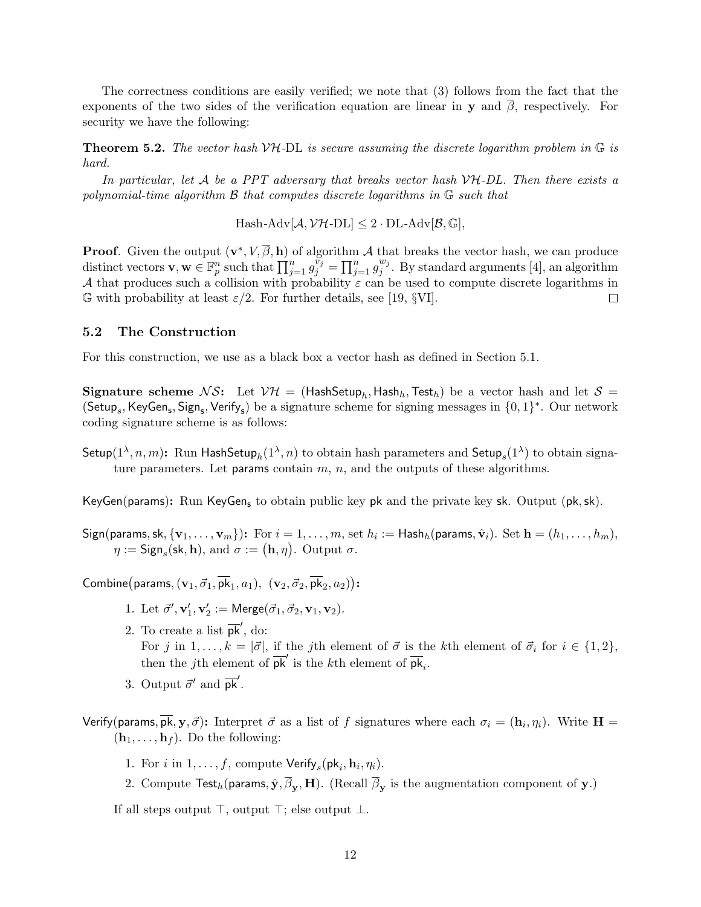The correctness conditions are easily verified; we note that (3) follows from the fact that the exponents of the two sides of the verification equation are linear in y and  $\overline{\beta}$ , respectively. For security we have the following:

**Theorem 5.2.** The vector hash  $V\mathcal{H}$ -DL is secure assuming the discrete logarithm problem in  $\mathbb{G}$  is hard.

In particular, let A be a PPT adversary that breaks vector hash  $VH$ -DL. Then there exists a polynomial-time algorithm  $\mathcal B$  that computes discrete logarithms in  $\mathbb G$  such that

Hash-Adv $[\mathcal{A}, \mathcal{VH}\text{-DL}]$  < 2 · DL-Adv $[\mathcal{B}, \mathbb{G}]$ ,

**Proof.** Given the output  $(\mathbf{v}^*, V, \overline{\beta}, \mathbf{h})$  of algorithm A that breaks the vector hash, we can produce distinct vectors  $\mathbf{v}, \mathbf{w} \in \mathbb{F}_p^n$  such that  $\prod_{j=1}^n g_j^{\overline{v}_j} = \prod_{j=1}^n g_j^{w_j}$  $_{j}^{w_{j}}$ . By standard arguments [4], an algorithm A that produces such a collision with probability  $\varepsilon$  can be used to compute discrete logarithms in G with probability at least  $\varepsilon/2$ . For further details, see [19,  $\S$ VI].  $\Box$ 

#### 5.2 The Construction

For this construction, we use as a black box a vector hash as defined in Section 5.1.

 ${\bf Signature\;\;scheme\;\;NS: \;\; Let \;\mathcal{VH}= (HashSetup_h,Hash_h,Test_h)$  be a vector hash and let  $\mathcal{S}=$ (Setup<sub>s</sub>, KeyGen<sub>s</sub>, Sign<sub>s</sub>, Verify<sub>s</sub>) be a signature scheme for signing messages in  $\{0,1\}^*$ . Our network coding signature scheme is as follows:

Setup $(1^{\lambda},n,m)$ : Run HashSetup $_h(1^{\lambda},n)$  to obtain hash parameters and Setup $_s(1^{\lambda})$  to obtain signature parameters. Let params contain  $m$ ,  $n$ , and the outputs of these algorithms.

KeyGen(params): Run KeyGen<sub>s</sub> to obtain public key pk and the private key sk. Output (pk, sk).

 ${\sf Sign}({\sf params}, {\sf sk}, \{{\bf v}_1,\ldots,{\bf v}_m\})$ : For  $i=1,\ldots,m,$  set  $h_i:={\sf Hash}_h({\sf params},\hat{\bf v}_i).$  Set  ${\bf h}=(h_1,\ldots,h_m),$  $\eta := \mathsf{Sign}_s(\mathsf{sk}, \mathbf{h}), \text{ and } \sigma := \big(\mathbf{h}, \eta\big).$  Output  $\sigma$ .

 $\mathsf{Combine}\big(\mathsf{params}, (\mathbf{v}_1, \vec{\sigma}_1, \overline{\mathsf{pk}}_1, a_1), \ (\mathbf{v}_2, \vec{\sigma}_2, \overline{\mathsf{pk}}_2, a_2)\big)$ :

- 1. Let  $\vec{\sigma}', \mathbf{v}'_1, \mathbf{v}'_2 := \mathsf{Merge}(\vec{\sigma}_1, \vec{\sigma}_2, \mathbf{v}_1, \mathbf{v}_2).$
- 2. To create a list  $\overline{pk}'$ , do: For j in  $1, \ldots, k = |\vec{\sigma}|$ , if the jth element of  $\vec{\sigma}$  is the kth element of  $\vec{\sigma}_i$  for  $i \in \{1, 2\}$ , then the j<sup>th</sup> element of  $\overline{pk}'$  is the *k*<sup>th</sup> element of  $\overline{pk}_i$ .
- 3. Output  $\vec{\sigma}'$  and  $\overline{\mathsf{pk}}'$ .
- Verify(params, pk,  ${\bf y},\vec \sigma)$ : Interpret  $\vec \sigma$  as a list of  $f$  signatures where each  $\sigma_i=({\bf h}_i,\eta_i).$  Write  ${\bf H}=$  $(\mathbf{h}_1, \ldots, \mathbf{h}_f)$ . Do the following:
	- 1. For *i* in  $1, \ldots, f$ , compute  $\mathsf{Verify}_s(\mathsf{pk}_i, \mathbf{h}_i, \eta_i)$ .
	- 2. Compute  $\mathsf{Test}_h(\mathsf{params}, \hat{\mathbf{y}}, \beta_{\mathbf{y}}, \mathbf{H})$ . (Recall  $\beta_{\mathbf{y}}$  is the augmentation component of  $\mathbf{y}$ .)

If all steps output  $\top$ , output  $\top$ ; else output  $\bot$ .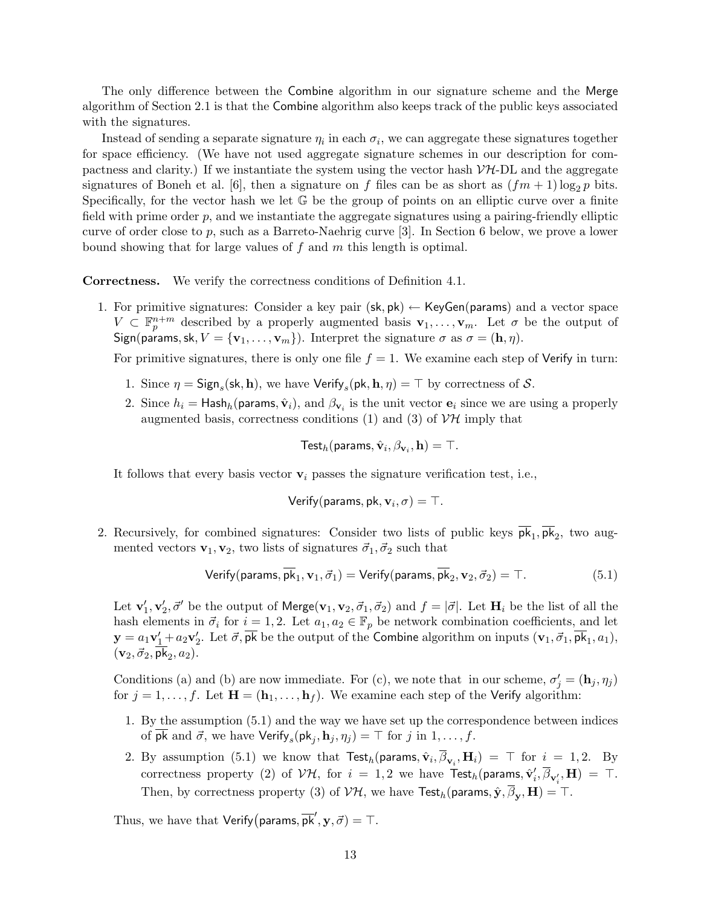The only difference between the Combine algorithm in our signature scheme and the Merge algorithm of Section 2.1 is that the Combine algorithm also keeps track of the public keys associated with the signatures.

Instead of sending a separate signature  $\eta_i$  in each  $\sigma_i$ , we can aggregate these signatures together for space efficiency. (We have not used aggregate signature schemes in our description for compactness and clarity.) If we instantiate the system using the vector hash  $V\mathcal{H}\text{-DL}$  and the aggregate signatures of Boneh et al. [6], then a signature on f files can be as short as  $(fm + 1) \log_2 p$  bits. Specifically, for the vector hash we let G be the group of points on an elliptic curve over a finite field with prime order  $p$ , and we instantiate the aggregate signatures using a pairing-friendly elliptic curve of order close to p, such as a Barreto-Naehrig curve [3]. In Section 6 below, we prove a lower bound showing that for large values of  $f$  and  $m$  this length is optimal.

Correctness. We verify the correctness conditions of Definition 4.1.

1. For primitive signatures: Consider a key pair  $(\mathsf{sk}, \mathsf{pk}) \leftarrow \mathsf{KeyGen}(\mathsf{params})$  and a vector space  $V \subset \mathbb{F}_p^{n+m}$  described by a properly augmented basis  $\mathbf{v}_1, \ldots, \mathbf{v}_m$ . Let  $\sigma$  be the output of Sign(params, sk,  $V = {\mathbf{v}_1, \dots, \mathbf{v}_m}$ ). Interpret the signature  $\sigma$  as  $\sigma = (\mathbf{h}, \eta)$ .

For primitive signatures, there is only one file  $f = 1$ . We examine each step of Verify in turn:

- 1. Since  $\eta = \mathsf{Sign}_s(\mathsf{sk}, \mathbf{h})$ , we have  $\mathsf{Verify}_s(\mathsf{pk}, \mathbf{h}, \eta) = \top$  by correctness of  $\mathcal{S}$ .
- 2. Since  $h_i = \mathsf{Hash}_h(\mathsf{params}, \hat{\mathbf{v}}_i)$ , and  $\beta_{\mathbf{v}_i}$  is the unit vector  $\mathbf{e}_i$  since we are using a properly augmented basis, correctness conditions (1) and (3) of  $V\mathcal{H}$  imply that

$$
\mathsf{Test}_h(\mathsf{params}, \hat{\mathbf{v}}_i, \beta_{\mathbf{v}_i}, \mathbf{h}) = \top.
$$

It follows that every basis vector  $\mathbf{v}_i$  passes the signature verification test, i.e.,

$$
\mathsf{Verify}(\mathsf{params}, \mathsf{pk}, \mathbf{v}_i, \sigma) = \top.
$$

2. Recursively, for combined signatures: Consider two lists of public keys  $pk_1, pk_2$ , two augmented vectors  $\mathbf{v}_1, \mathbf{v}_2$ , two lists of signatures  $\vec{\sigma}_1, \vec{\sigma}_2$  such that

Verify(params, 
$$
pk_1
$$
,  $\mathbf{v}_1$ ,  $\vec{\sigma}_1$ ) = Verify(params,  $pk_2$ ,  $\mathbf{v}_2$ ,  $\vec{\sigma}_2$ ) = T. (5.1)

Let  $\mathbf{v}'_1, \mathbf{v}'_2, \vec{\sigma}'$  be the output of Merge $(\mathbf{v}_1, \mathbf{v}_2, \vec{\sigma}_1, \vec{\sigma}_2)$  and  $f = |\vec{\sigma}|$ . Let  $\mathbf{H}_i$  be the list of all the hash elements in  $\vec{\sigma}_i$  for  $i = 1, 2$ . Let  $a_1, a_2 \in \mathbb{F}_p$  be network combination coefficients, and let  $y = a_1 v'_1 + a_2 v'_2$ . Let  $\vec{\sigma}$ ,  $\overline{\mathsf{pk}}$  be the output of the Combine algorithm on inputs  $(v_1, \vec{\sigma}_1, \overline{\mathsf{pk}}_1, a_1)$ ,  $(\mathbf{v}_2, \vec{\sigma}_2, \mathsf{pk}_2, a_2).$ 

Conditions (a) and (b) are now immediate. For (c), we note that in our scheme,  $\sigma'_{j} = (\mathbf{h}_{j}, \eta_{j})$ for  $j = 1, \ldots, f$ . Let  $\mathbf{H} = (\mathbf{h}_1, \ldots, \mathbf{h}_f)$ . We examine each step of the Verify algorithm:

- 1. By the assumption (5.1) and the way we have set up the correspondence between indices of  $\overline{\mathsf{pk}}$  and  $\vec{\sigma}$ , we have  $\mathsf{Verify}_s(\mathsf{pk}_j, \mathbf{h}_j, \eta_j) = \top$  for  $j$  in  $1, \ldots, f$ .
- 2. By assumption (5.1) we know that  $\textsf{Test}_h(\textsf{params}, \hat{\mathbf{v}}_i, \beta_{\mathbf{v}_i}, \mathbf{H}_i) = \top$  for  $i = 1, 2$ . By correctness property (2) of  $V\mathcal{H}$ , for  $i = 1, 2$  we have  $\textsf{Test}_h(\textsf{params}, \hat{\mathbf{v}}'_i, \overline{\beta}_{\mathbf{v}'_i}, \mathbf{H}) = \top$ . Then, by correctness property (3) of  $\cal VH$ , we have  $\mathsf{Test}_h(\mathsf{params},\hat{\mathbf{y}},\overline{\beta}_{\mathbf{y}},\mathbf{H})=\top.$

Thus, we have that  $Verify(params, \overline{pk}', y, \vec{\sigma}) = \top$ .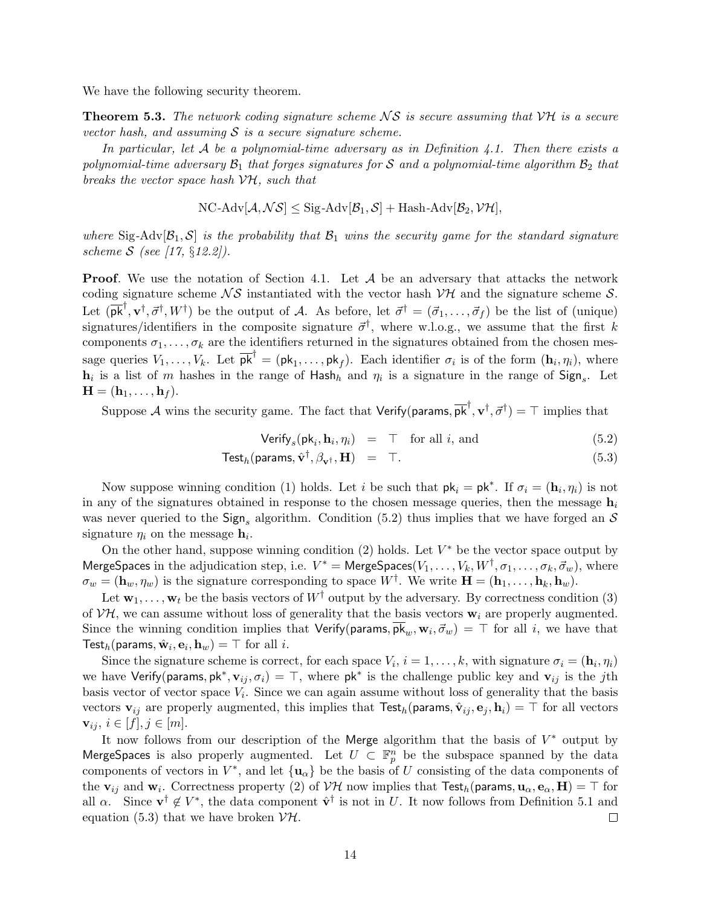We have the following security theorem.

**Theorem 5.3.** The network coding signature scheme  $NS$  is secure assuming that  $VH$  is a secure vector hash, and assuming  $S$  is a secure signature scheme.

In particular, let A be a polynomial-time adversary as in Definition 4.1. Then there exists a polynomial-time adversary  $\mathcal{B}_1$  that forges signatures for S and a polynomial-time algorithm  $\mathcal{B}_2$  that breaks the vector space hash  $V\mathcal{H}$ , such that

$$
NC\text{-}Adv[\mathcal{A},\mathcal{NS}] \leq Sig\text{-}Adv[\mathcal{B}_1,\mathcal{S}] + Hash\text{-}Adv[\mathcal{B}_2,\mathcal{VH}],
$$

where Sig-Adv $[\beta_1, \mathcal{S}]$  is the probability that  $\beta_1$  wins the security game for the standard signature scheme  $S$  (see [17, §12.2]).

**Proof.** We use the notation of Section 4.1. Let  $A$  be an adversary that attacks the network coding signature scheme  $\mathcal{N}\mathcal{S}$  instantiated with the vector hash  $\mathcal{V}\mathcal{H}$  and the signature scheme  $\mathcal{S}$ . Let  $(\overline{\mathsf{pk}}^{\dagger}, \mathbf{v}^{\dagger}, \overline{\sigma}^{\dagger}, W^{\dagger})$  be the output of A. As before, let  $\overline{\sigma}^{\dagger} = (\overline{\sigma}_1, \ldots, \overline{\sigma}_f)$  be the list of (unique) signatures/identifiers in the composite signature  $\vec{\sigma}^{\dagger}$ , where w.l.o.g., we assume that the first k components  $\sigma_1, \ldots, \sigma_k$  are the identifiers returned in the signatures obtained from the chosen message queries  $V_1, \ldots, V_k$ . Let  $\overline{pk}^{\dagger} = (pk_1, \ldots, pk_f)$ . Each identifier  $\sigma_i$  is of the form  $(h_i, \eta_i)$ , where  $h_i$  is a list of m hashes in the range of Hash<sub>h</sub> and  $\eta_i$  is a signature in the range of Sign<sub>s</sub>. Let  $\mathbf{H} = (\mathbf{h}_1, \ldots, \mathbf{h}_f).$ 

Suppose A wins the security game. The fact that Verify(params,  $\overline{pk}^{\dagger}$ ,  $\mathbf{v}^{\dagger}$ ,  $\overline{\mathbf{v}}^{\dagger}$ ) =  $\top$  implies that

$$
Verify_s(\mathsf{pk}_i, \mathbf{h}_i, \eta_i) = \top \text{ for all } i, \text{ and } (5.2)
$$

Test<sub>h</sub>(params, 
$$
\hat{\mathbf{v}}^{\dagger}
$$
,  $\beta_{\mathbf{v}^{\dagger}}$ , **H**) = T. (5.3)

Now suppose winning condition (1) holds. Let i be such that  $pk_i = pk^*$ . If  $\sigma_i = (\mathbf{h}_i, \eta_i)$  is not in any of the signatures obtained in response to the chosen message queries, then the message  $h_i$ was never queried to the Sign<sub>s</sub> algorithm. Condition (5.2) thus implies that we have forged an S signature  $\eta_i$  on the message  $\mathbf{h}_i$ .

On the other hand, suppose winning condition  $(2)$  holds. Let  $V^*$  be the vector space output by MergeSpaces in the adjudication step, i.e.  $V^* = \text{MergeSpaces}(V_1,\ldots,V_k,W^\dagger,\sigma_1,\ldots,\sigma_k,\vec{\sigma}_w)$ , where  $\sigma_w = (\mathbf{h}_w, \eta_w)$  is the signature corresponding to space  $W^{\dagger}$ . We write  $\mathbf{H} = (\mathbf{h}_1, \dots, \mathbf{h}_k, \mathbf{h}_w)$ .

Let  $\mathbf{w}_1, \ldots, \mathbf{w}_t$  be the basis vectors of  $W^{\dagger}$  output by the adversary. By correctness condition (3) of  $V\mathcal{H}$ , we can assume without loss of generality that the basis vectors  $\mathbf{w}_i$  are properly augmented. Since the winning condition implies that  $Verify(params, pk_w, w_i, \vec{\sigma}_w) = \top$  for all i, we have that  $\mathsf{Test}_h(\mathsf{params}, \hat{\mathbf{w}}_i, \mathbf{e}_i, \mathbf{h}_w) = \top$  for all  $i.$ 

Since the signature scheme is correct, for each space  $V_i$ ,  $i = 1, \ldots, k$ , with signature  $\sigma_i = (\mathbf{h}_i, \eta_i)$ we have Verify(params,  $pk^*$ ,  $\mathbf{v}_{ij}, \sigma_i$ ) =  $\top$ , where  $pk^*$  is the challenge public key and  $\mathbf{v}_{ij}$  is the jth basis vector of vector space  $V_i$ . Since we can again assume without loss of generality that the basis vectors  $\mathbf{v}_{ij}$  are properly augmented, this implies that  $\text{Test}_h(\text{params}, \hat{\mathbf{v}}_{ij}, \mathbf{e}_j, \mathbf{h}_i) = \top$  for all vectors  $\mathbf{v}_{ij}, i \in [f], j \in [m].$ 

It now follows from our description of the Merge algorithm that the basis of  $V^*$  output by MergeSpaces is also properly augmented. Let  $U \subset \mathbb{F}_p^n$  be the subspace spanned by the data components of vectors in  $V^*$ , and let  $\{u_\alpha\}$  be the basis of U consisting of the data components of the  ${\bf v}_{ij}$  and  ${\bf w}_i$ . Correctness property (2) of  ${\cal VH}$  now implies that  $\mathsf{Test}_h(\mathsf{params}, {\bf u}_\alpha,{\bf e}_\alpha,{\bf H}) = \top$  for all  $\alpha$ . Since  $\mathbf{v}^{\dagger} \notin V^*$ , the data component  $\hat{\mathbf{v}}^{\dagger}$  is not in U. It now follows from Definition 5.1 and equation (5.3) that we have broken  $\mathcal{V}\mathcal{H}$ .  $\Box$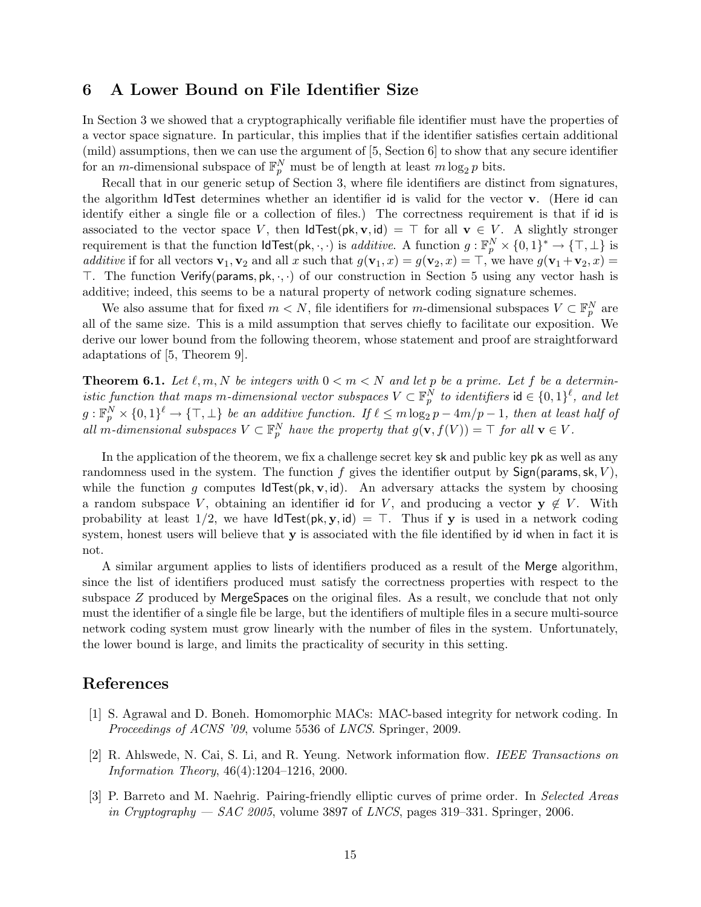### 6 A Lower Bound on File Identifier Size

In Section 3 we showed that a cryptographically verifiable file identifier must have the properties of a vector space signature. In particular, this implies that if the identifier satisfies certain additional (mild) assumptions, then we can use the argument of [5, Section 6] to show that any secure identifier for an *m*-dimensional subspace of  $\mathbb{F}_p^N$  must be of length at least  $m \log_2 p$  bits.

Recall that in our generic setup of Section 3, where file identifiers are distinct from signatures, the algorithm IdTest determines whether an identifier id is valid for the vector  $\bf{v}$ . (Here id can identify either a single file or a collection of files.) The correctness requirement is that if id is associated to the vector space V, then  $\mathsf{IdTest}(\mathsf{pk}, \mathbf{v}, \mathsf{id}) = \top$  for all  $\mathbf{v} \in V$ . A slightly stronger requirement is that the function  $\mathsf{IdTest}(\mathsf{pk}, \cdot, \cdot)$  is *additive*. A function  $g: \mathbb{F}_p^N \times \{0,1\}^* \to \{\top, \bot\}$  is additive if for all vectors  $\mathbf{v}_1, \mathbf{v}_2$  and all x such that  $g(\mathbf{v}_1, x) = g(\mathbf{v}_2, x) = \top$ , we have  $g(\mathbf{v}_1 + \mathbf{v}_2, x) =$  $\top$ . The function Verify(params, pk,  $\cdot$ ,  $\cdot$ ) of our construction in Section 5 using any vector hash is additive; indeed, this seems to be a natural property of network coding signature schemes.

We also assume that for fixed  $m < N$ , file identifiers for m-dimensional subspaces  $V \subset \mathbb{F}_p^N$  are all of the same size. This is a mild assumption that serves chiefly to facilitate our exposition. We derive our lower bound from the following theorem, whose statement and proof are straightforward adaptations of [5, Theorem 9].

**Theorem 6.1.** Let  $\ell, m, N$  be integers with  $0 < m < N$  and let p be a prime. Let f be a deterministic function that maps m-dimensional vector subspaces  $V \subset \mathbb{F}_p^N$  to identifiers  $\mathsf{id} \in \{0,1\}^{\ell}$ , and let  $g: \mathbb{F}_p^N \times \{0,1\}^{\ell} \to \{\top, \bot\}$  be an additive function. If  $\ell \leq m \log_2 p - 4m/p - 1$ , then at least half of all m-dimensional subspaces  $V \subset \mathbb{F}_p^N$  have the property that  $g(\mathbf{v}, f(V)) = \top$  for all  $\mathbf{v} \in V$ .

In the application of the theorem, we fix a challenge secret key sk and public key pk as well as any randomness used in the system. The function f gives the identifier output by  $Sign(param, sk, V)$ , while the function g computes  $\mathsf{IdTest}(\mathsf{pk}, \mathsf{v}, \mathsf{id})$ . An adversary attacks the system by choosing a random subspace V, obtaining an identifier id for V, and producing a vector  $y \notin V$ . With probability at least  $1/2$ , we have  $\mathsf{IdTest}(\mathsf{pk}, \mathbf{y}, \mathsf{id}) = \top$ . Thus if y is used in a network coding system, honest users will believe that y is associated with the file identified by id when in fact it is not.

A similar argument applies to lists of identifiers produced as a result of the Merge algorithm, since the list of identifiers produced must satisfy the correctness properties with respect to the subspace Z produced by MergeSpaces on the original files. As a result, we conclude that not only must the identifier of a single file be large, but the identifiers of multiple files in a secure multi-source network coding system must grow linearly with the number of files in the system. Unfortunately, the lower bound is large, and limits the practicality of security in this setting.

# References

- [1] S. Agrawal and D. Boneh. Homomorphic MACs: MAC-based integrity for network coding. In Proceedings of ACNS '09, volume 5536 of LNCS. Springer, 2009.
- [2] R. Ahlswede, N. Cai, S. Li, and R. Yeung. Network information flow. IEEE Transactions on Information Theory, 46(4):1204–1216, 2000.
- [3] P. Barreto and M. Naehrig. Pairing-friendly elliptic curves of prime order. In Selected Areas in Cryptography —  $SAC$  2005, volume 3897 of LNCS, pages 319–331. Springer, 2006.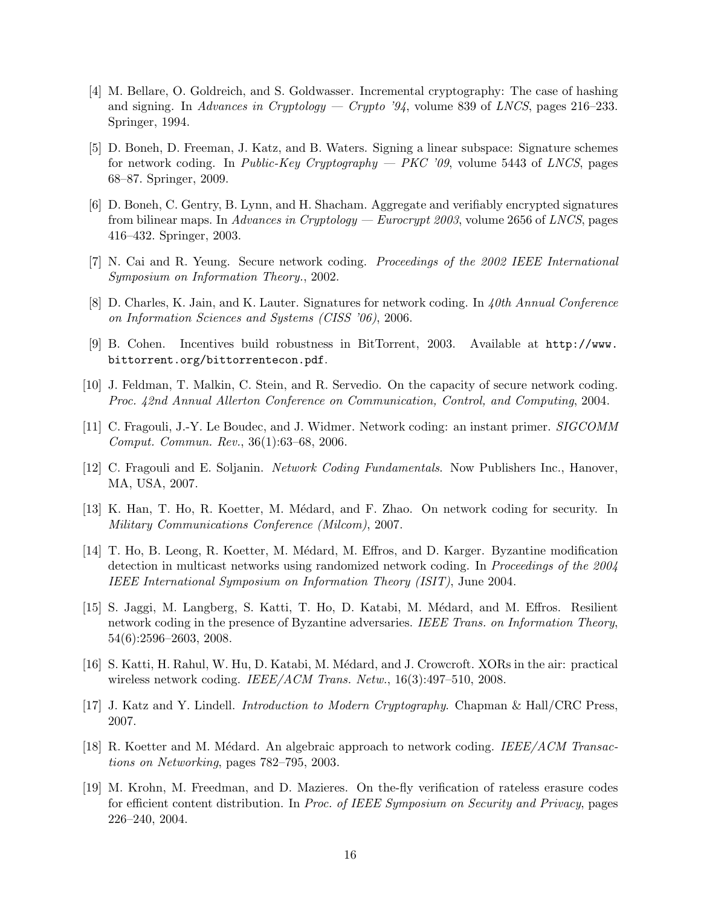- [4] M. Bellare, O. Goldreich, and S. Goldwasser. Incremental cryptography: The case of hashing and signing. In Advances in Cryptology — Crypto '94, volume 839 of LNCS, pages 216–233. Springer, 1994.
- [5] D. Boneh, D. Freeman, J. Katz, and B. Waters. Signing a linear subspace: Signature schemes for network coding. In Public-Key Cryptography  $-$  PKC '09, volume 5443 of LNCS, pages 68–87. Springer, 2009.
- [6] D. Boneh, C. Gentry, B. Lynn, and H. Shacham. Aggregate and verifiably encrypted signatures from bilinear maps. In Advances in Cryptology — Eurocrypt 2003, volume 2656 of LNCS, pages 416–432. Springer, 2003.
- [7] N. Cai and R. Yeung. Secure network coding. Proceedings of the 2002 IEEE International Symposium on Information Theory., 2002.
- [8] D. Charles, K. Jain, and K. Lauter. Signatures for network coding. In 40th Annual Conference on Information Sciences and Systems (CISS '06), 2006.
- [9] B. Cohen. Incentives build robustness in BitTorrent, 2003. Available at http://www. bittorrent.org/bittorrentecon.pdf.
- [10] J. Feldman, T. Malkin, C. Stein, and R. Servedio. On the capacity of secure network coding. Proc. 42nd Annual Allerton Conference on Communication, Control, and Computing, 2004.
- [11] C. Fragouli, J.-Y. Le Boudec, and J. Widmer. Network coding: an instant primer. SIGCOMM Comput. Commun. Rev., 36(1):63–68, 2006.
- [12] C. Fragouli and E. Soljanin. Network Coding Fundamentals. Now Publishers Inc., Hanover, MA, USA, 2007.
- [13] K. Han, T. Ho, R. Koetter, M. Médard, and F. Zhao. On network coding for security. In Military Communications Conference (Milcom), 2007.
- [14] T. Ho, B. Leong, R. Koetter, M. Médard, M. Effros, and D. Karger. Byzantine modification detection in multicast networks using randomized network coding. In Proceedings of the 2004 IEEE International Symposium on Information Theory (ISIT), June 2004.
- [15] S. Jaggi, M. Langberg, S. Katti, T. Ho, D. Katabi, M. Médard, and M. Effros. Resilient network coding in the presence of Byzantine adversaries. IEEE Trans. on Information Theory, 54(6):2596–2603, 2008.
- [16] S. Katti, H. Rahul, W. Hu, D. Katabi, M. Médard, and J. Crowcroft. XORs in the air: practical wireless network coding. IEEE/ACM Trans. Netw., 16(3):497-510, 2008.
- [17] J. Katz and Y. Lindell. Introduction to Modern Cryptography. Chapman & Hall/CRC Press, 2007.
- [18] R. Koetter and M. Médard. An algebraic approach to network coding. *IEEE/ACM Transac*tions on Networking, pages 782–795, 2003.
- [19] M. Krohn, M. Freedman, and D. Mazieres. On the-fly verification of rateless erasure codes for efficient content distribution. In Proc. of IEEE Symposium on Security and Privacy, pages 226–240, 2004.